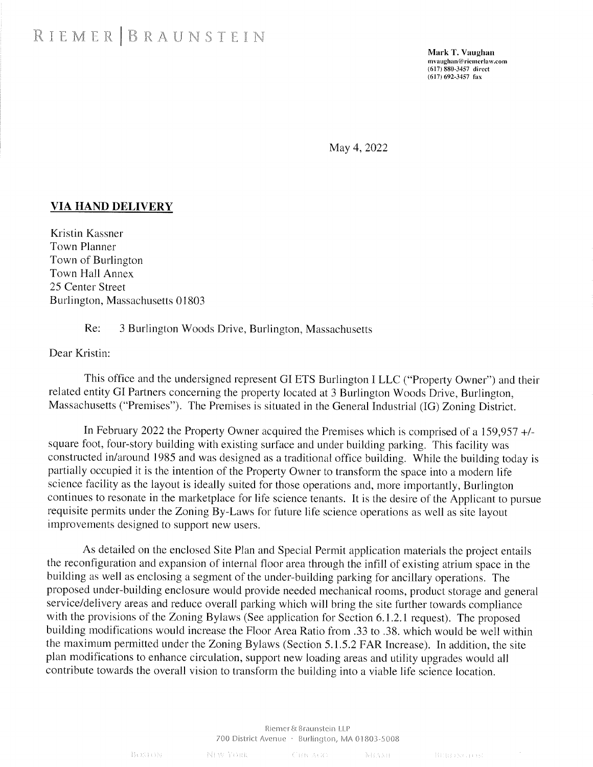Mark T. Vaughan **mvaughan@ riemerlaw.com (617)880-3457 direct (617)692-3457 fax**

May 4, 2022

## **VIA HAND DELIVERY**

Kristin Kassner Town Planner Town of Burlington Town Hall Annex 25 Center Street Burlington, Massachusetts 01803

## Re: 3 Burlington Woods Drive, Burlington, Massachusetts

Dear Kristin:

This office and the undersigned represent GI ETS Burlington I LLC ("Property Owner") and their related entity GI Partners concerning the property located at 3 Burlington Woods Drive, Burlington, Massachusetts ("Premises"). The Premises is situated in the General Industrial (IG) Zoning District.

In February 2022 the Property Owner acquired the Premises which is comprised of a 159,957 +/ square foot, four-story building with existing surface and under building parking. This facility was constructed in/around 1985 and was designed as a traditional office building. While the building today is partially occupied it is the intention of the Property Owner to transform the space into a modern life science facility as the layout is ideally suited for those operations and, more importantly, Burlington continues to resonate in the marketplace for life science tenants. It is the desire of the Applicant to pursue requisite permits under the Zoning By-Laws for future life science operations as well as site layout improvements designed to support new users.

As detailed on the enclosed Site Plan and Special Permit application materials the project entails the reconfiguration and expansion of internal floor area through the infill of existing atrium space in the building as well as enclosing a segment of the under-building parking for ancillary operations. The proposed under-building enclosure would provide needed mechanical rooms, product storage and general service/delivery areas and reduce overall parking which will bring the site further towards compliance with the provisions of the Zoning Bylaws (See application for Section 6.1.2.1 request). The proposed building modifications would increase the Floor Area Ratio from .33 to .38. which would be well within the maximum permitted under the Zoning Bylaws (Section 5.1.5.2 FAR Increase). In addition, the site plan modifications to enhance circulation, support new loading areas and utility upgrades would all contribute towards the overall vision to transform the building into a viable life science location.

## Riemer& Braunstein LLP 700 District Avenue · Burlington, MA 01803-5008

BOSTON-

NEW YORK

**CHICAGO NHAME**